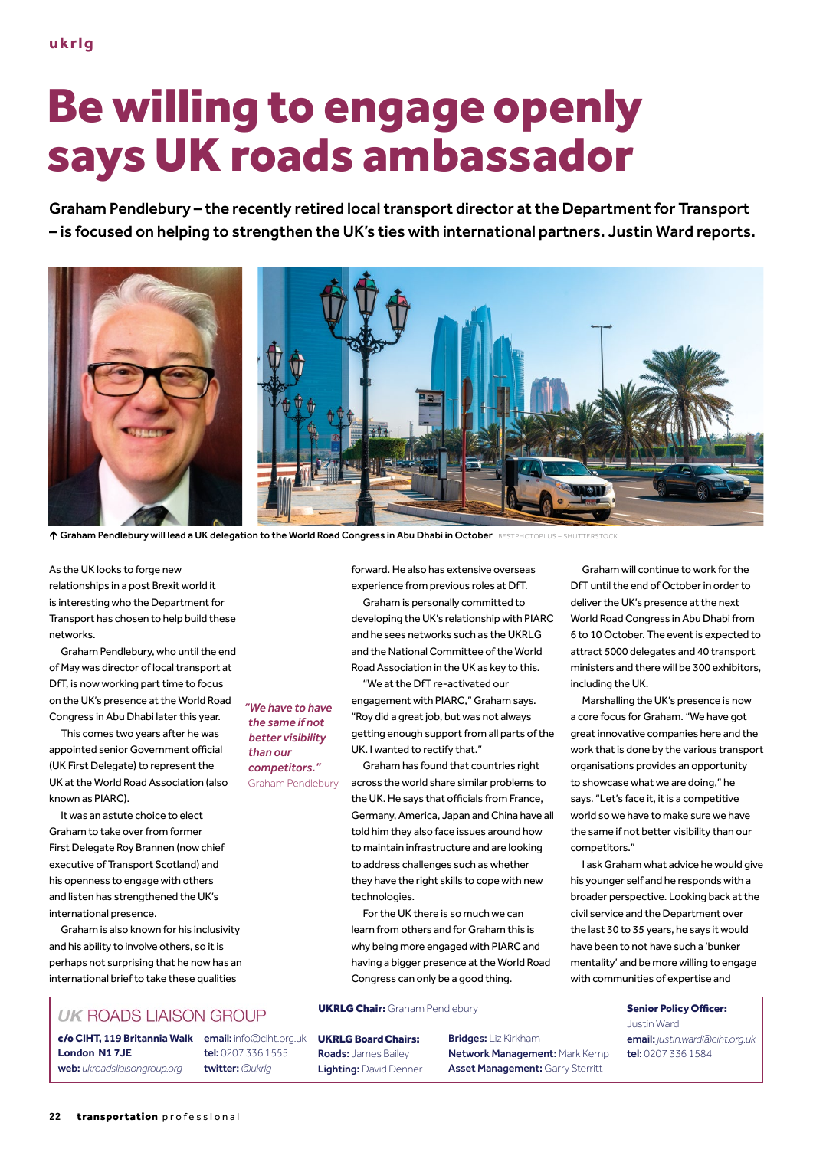## Be willing to engage openly says UK roads ambassador

Graham Pendlebury – the recently retired local transport director at the Department for Transport – is focused on helping to strengthen the UK's ties with international partners. Justin Ward reports.



↑ Graham Pendlebury will lead a UK delegation to the World Road Congress in Abu Dhabi in October BESTPHOTOPLUS

As the UK looks to forge new relationships in a post Brexit world it is interesting who the Department for Transport has chosen to help build these networks.

Graham Pendlebury, who until the end of May was director of local transport at DfT, is now working part time to focus on the UK's presence at the World Road Congress in Abu Dhabi later this year.

This comes two years after he was appointed senior Government official (UK First Delegate) to represent the UK at the World Road Association (also known as PIARC).

It was an astute choice to elect Graham to take over from former First Delegate Roy Brannen (now chief executive of Transport Scotland) and his openness to engage with others and listen has strengthened the UK's international presence.

Graham is also known for his inclusivity and his ability to involve others, so it is perhaps not surprising that he now has an international brief to take these qualities

## **UK ROADS LIAISON GROUP**

c/o **CIHT, 119 Britannia Walk** email: info@ciht.org.uk **London N1 7JE** web: *ukroadsliaisongroup.org*

tel: 0207 336 1555 twitter: *@ukrlg*

forward. He also has extensive overseas experience from previous roles at DfT. Graham is personally committed to developing the UK's relationship with PIARC and he sees networks such as the UKRLG and the National Committee of the World Road Association in the UK as key to this.

"We at the DfT re-activated our engagement with PIARC," Graham says. "Roy did a great job, but was not always getting enough support from all parts of the UK. I wanted to rectify that."

Graham has found that countries right across the world share similar problems to the UK. He says that officials from France, Germany, America, Japan and China have all told him they also face issues around how to maintain infrastructure and are looking to address challenges such as whether they have the right skills to cope with new technologies.

For the UK there is so much we can learn from others and for Graham this is why being more engaged with PIARC and having a bigger presence at the World Road Congress can only be a good thing.

## UKRLG Chair: Graham Pendlebury **Senior Policy Officer:**

UKRLG Board Chairs: Roads: James Bailey Lighting: David Denner Bridges: Liz Kirkham Network Management: Mark Kemp Asset Management: Garry Sterritt

Graham will continue to work for the DfT until the end of October in order to deliver the UK's presence at the next World Road Congress in Abu Dhabi from 6 to 10 October. The event is expected to attract 5000 delegates and 40 transport ministers and there will be 300 exhibitors, including the UK.

Marshalling the UK's presence is now a core focus for Graham. "We have got great innovative companies here and the work that is done by the various transport organisations provides an opportunity to showcase what we are doing," he says. "Let's face it, it is a competitive world so we have to make sure we have the same if not better visibility than our competitors."

I ask Graham what advice he would give his younger self and he responds with a broader perspective. Looking back at the civil service and the Department over the last 30 to 35 years, he says it would have been to not have such a 'bunker mentality' and be more willing to engage with communities of expertise and

> Justin Ward email: *justin.ward@ciht.org.uk* tel: 0207 336 1584

*"We have to have the same if not better visibility than our competitors."*  Graham Pendlebury